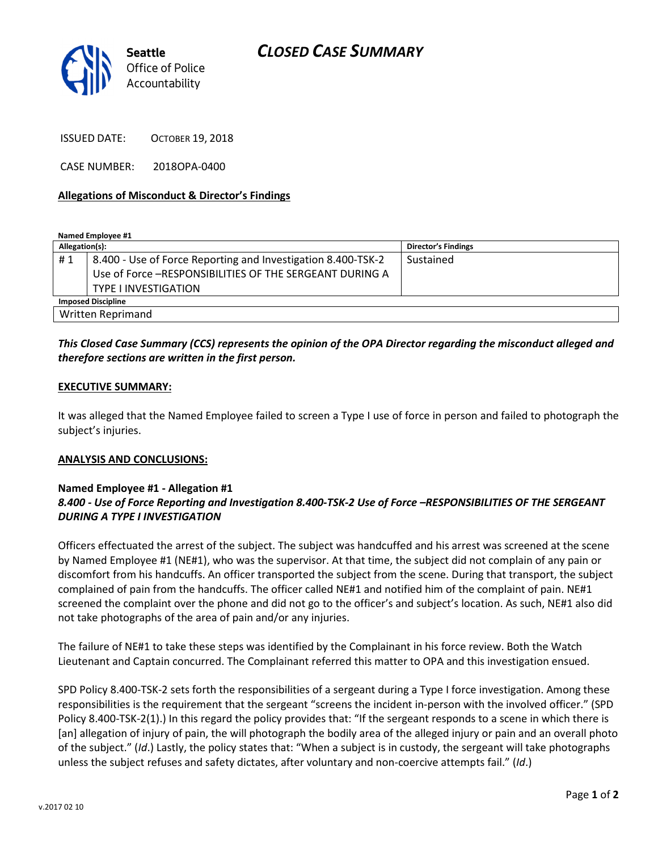

ISSUED DATE: OCTOBER 19, 2018

CASE NUMBER: 2018OPA-0400

#### Allegations of Misconduct & Director's Findings

Named Employee #1

| Allegation(s):            |                                                              | <b>Director's Findings</b> |
|---------------------------|--------------------------------------------------------------|----------------------------|
| #1                        | 8.400 - Use of Force Reporting and Investigation 8.400-TSK-2 | Sustained                  |
|                           | Use of Force -RESPONSIBILITIES OF THE SERGEANT DURING A      |                            |
|                           | <b>TYPE I INVESTIGATION</b>                                  |                            |
| <b>Imposed Discipline</b> |                                                              |                            |
| <b>Written Reprimand</b>  |                                                              |                            |

## This Closed Case Summary (CCS) represents the opinion of the OPA Director regarding the misconduct alleged and therefore sections are written in the first person.

#### EXECUTIVE SUMMARY:

It was alleged that the Named Employee failed to screen a Type I use of force in person and failed to photograph the subject's injuries.

#### ANALYSIS AND CONCLUSIONS:

### Named Employee #1 - Allegation #1 8.400 - Use of Force Reporting and Investigation 8.400-TSK-2 Use of Force –RESPONSIBILITIES OF THE SERGEANT DURING A TYPE I INVESTIGATION

Officers effectuated the arrest of the subject. The subject was handcuffed and his arrest was screened at the scene by Named Employee #1 (NE#1), who was the supervisor. At that time, the subject did not complain of any pain or discomfort from his handcuffs. An officer transported the subject from the scene. During that transport, the subject complained of pain from the handcuffs. The officer called NE#1 and notified him of the complaint of pain. NE#1 screened the complaint over the phone and did not go to the officer's and subject's location. As such, NE#1 also did not take photographs of the area of pain and/or any injuries.

The failure of NE#1 to take these steps was identified by the Complainant in his force review. Both the Watch Lieutenant and Captain concurred. The Complainant referred this matter to OPA and this investigation ensued.

SPD Policy 8.400-TSK-2 sets forth the responsibilities of a sergeant during a Type I force investigation. Among these responsibilities is the requirement that the sergeant "screens the incident in-person with the involved officer." (SPD Policy 8.400-TSK-2(1).) In this regard the policy provides that: "If the sergeant responds to a scene in which there is [an] allegation of injury of pain, the will photograph the bodily area of the alleged injury or pain and an overall photo of the subject." (Id.) Lastly, the policy states that: "When a subject is in custody, the sergeant will take photographs unless the subject refuses and safety dictates, after voluntary and non-coercive attempts fail." (Id.)